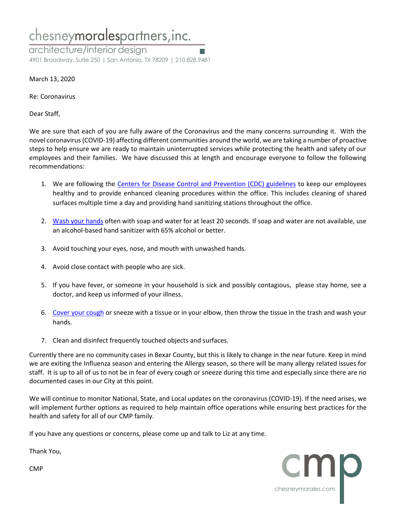## chesneymoralespartners, inc.

architecture/interior design 4901 Broadway, Suite 250 | San Antonio, TX 78209 | 210.828.9481

March 13, 2020

Re: Coronavirus

Dear Staff,

We are sure that each of you are fully aware of the Coronavirus and the many concerns surrounding it. With the novel coronavirus (COVID-19) affecting different communities around the world, we are taking a number of proactive steps to help ensure we are ready to maintain uninterrupted services while protecting the health and safety of our employees and their families. We have discussed this at length and encourage everyone to follow the following recommendations:

- 1. We are following the [Centers for Disease Control and Prevention \(CDC\) guidelines](https://www.cdc.gov/coronavirus/2019-ncov/index.html) to keep our employees healthy and to provide enhanced cleaning procedures within the office. This includes cleaning of shared surfaces multiple time a day and providing hand sanitizing stations throughout the office.
- 2. [Wash your hands](https://www.cdc.gov/healthywater/hygiene/hand/handwashing.html) often with soap and water for at least 20 seconds. If soap and water are not available, use an alcohol-based hand sanitizer with 65% alcohol or better.
- 3. Avoid touching your eyes, nose, and mouth with unwashed hands.
- 4. Avoid close contact with people who are sick.
- 5. If you have fever, or someone in your household is sick and possibly contagious, please stay home, see a doctor, and keep us informed of your illness.
- 6. [Cover your cough](https://www.cdc.gov/healthywater/hygiene/etiquette/coughing_sneezing.html) or sneeze with a tissue or in your elbow, then throw the tissue in the trash and wash your hands.
- 7. Clean and disinfect frequently touched objects and surfaces.

Currently there are no community cases in Bexar County, but this is likely to change in the near future. Keep in mind we are exiting the Influenza season and entering the Allergy season, so there will be many allergy related issues for staff. It is up to all of us to not be in fear of every cough or sneeze during this time and especially since there are no documented cases in our City at this point.

We will continue to monitor National, State, and Local updates on the coronavirus (COVID-19). If the need arises, we will implement further options as required to help maintain office operations while ensuring best practices for the health and safety for all of our CMP family.

chesneymorales.com

If you have any questions or concerns, please come up and talk to Liz at any time.

Thank You,

CMP